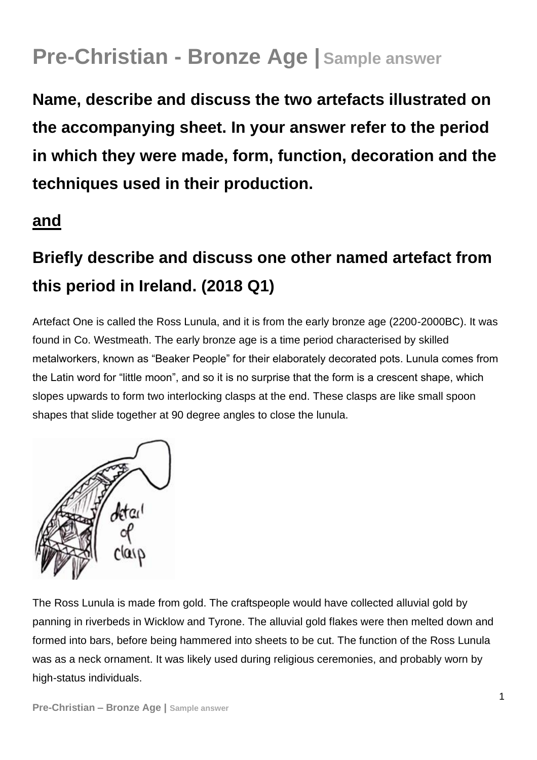## **Pre-Christian - Bronze Age | Sample answer**

**Name, describe and discuss the two artefacts illustrated on the accompanying sheet. In your answer refer to the period in which they were made, form, function, decoration and the techniques used in their production.** 

## **and**

## **Briefly describe and discuss one other named artefact from this period in Ireland. (2018 Q1)**

Artefact One is called the Ross Lunula, and it is from the early bronze age (2200-2000BC). It was found in Co. Westmeath. The early bronze age is a time period characterised by skilled metalworkers, known as "Beaker People" for their elaborately decorated pots. Lunula comes from the Latin word for "little moon", and so it is no surprise that the form is a crescent shape, which slopes upwards to form two interlocking clasps at the end. These clasps are like small spoon shapes that slide together at 90 degree angles to close the lunula.



The Ross Lunula is made from gold. The craftspeople would have collected alluvial gold by panning in riverbeds in Wicklow and Tyrone. The alluvial gold flakes were then melted down and formed into bars, before being hammered into sheets to be cut. The function of the Ross Lunula was as a neck ornament. It was likely used during religious ceremonies, and probably worn by high-status individuals.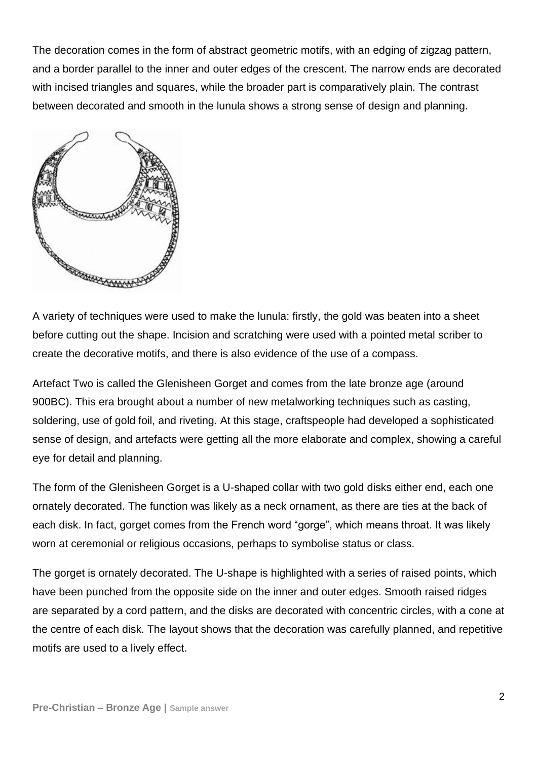The decoration comes in the form of abstract geometric motifs, with an edging of zigzag pattern, and a border parallel to the inner and outer edges of the crescent. The narrow ends are decorated with incised triangles and squares, while the broader part is comparatively plain. The contrast between decorated and smooth in the lunula shows a strong sense of design and planning.



A variety of techniques were used to make the lunula: firstly, the gold was beaten into a sheet before cutting out the shape. Incision and scratching were used with a pointed metal scriber to create the decorative motifs, and there is also evidence of the use of a compass.

Artefact Two is called the Glenisheen Gorget and comes from the late bronze age (around 900BC). This era brought about a number of new metalworking techniques such as casting, soldering, use of gold foil, and riveting. At this stage, craftspeople had developed a sophisticated sense of design, and artefacts were getting all the more elaborate and complex, showing a careful eye for detail and planning.

The form of the Glenisheen Gorget is a U-shaped collar with two gold disks either end, each one ornately decorated. The function was likely as a neck ornament, as there are ties at the back of each disk. In fact, gorget comes from the French word "gorge", which means throat. It was likely worn at ceremonial or religious occasions, perhaps to symbolise status or class.

The gorget is ornately decorated. The U-shape is highlighted with a series of raised points, which have been punched from the opposite side on the inner and outer edges. Smooth raised ridges are separated by a cord pattern, and the disks are decorated with concentric circles, with a cone at the centre of each disk. The layout shows that the decoration was carefully planned, and repetitive motifs are used to a lively effect.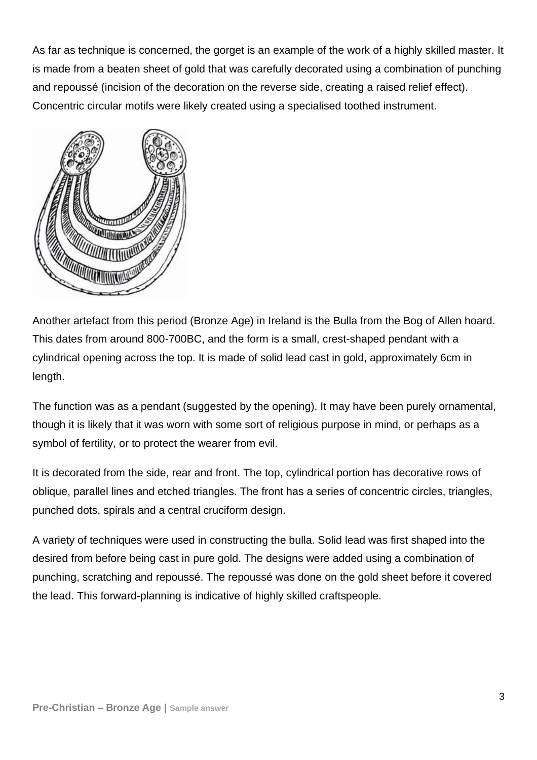As far as technique is concerned, the gorget is an example of the work of a highly skilled master. It is made from a beaten sheet of gold that was carefully decorated using a combination of punching and repoussé (incision of the decoration on the reverse side, creating a raised relief effect). Concentric circular motifs were likely created using a specialised toothed instrument.



Another artefact from this period (Bronze Age) in Ireland is the Bulla from the Bog of Allen hoard. This dates from around 800-700BC, and the form is a small, crest-shaped pendant with a cylindrical opening across the top. It is made of solid lead cast in gold, approximately 6cm in length.

The function was as a pendant (suggested by the opening). It may have been purely ornamental, though it is likely that it was worn with some sort of religious purpose in mind, or perhaps as a symbol of fertility, or to protect the wearer from evil.

It is decorated from the side, rear and front. The top, cylindrical portion has decorative rows of oblique, parallel lines and etched triangles. The front has a series of concentric circles, triangles, punched dots, spirals and a central cruciform design.

A variety of techniques were used in constructing the bulla. Solid lead was first shaped into the desired from before being cast in pure gold. The designs were added using a combination of punching, scratching and repoussé. The repoussé was done on the gold sheet before it covered the lead. This forward-planning is indicative of highly skilled craftspeople.